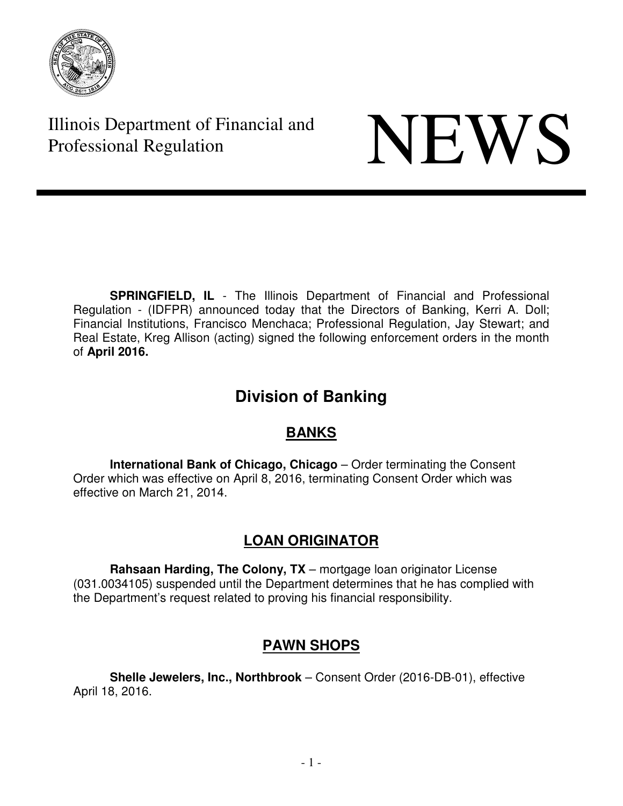

Illinois Department of Financial and Illinois Department of Financial and<br>Professional Regulation

**SPRINGFIELD, IL** - The Illinois Department of Financial and Professional Regulation - (IDFPR) announced today that the Directors of Banking, Kerri A. Doll; Financial Institutions, Francisco Menchaca; Professional Regulation, Jay Stewart; and Real Estate, Kreg Allison (acting) signed the following enforcement orders in the month of **April 2016.**

# **Division of Banking**

# **BANKS**

**International Bank of Chicago, Chicago** – Order terminating the Consent Order which was effective on April 8, 2016, terminating Consent Order which was effective on March 21, 2014.

# **LOAN ORIGINATOR**

**Rahsaan Harding, The Colony, TX** – mortgage loan originator License (031.0034105) suspended until the Department determines that he has complied with the Department's request related to proving his financial responsibility.

# **PAWN SHOPS**

**Shelle Jewelers, Inc., Northbrook** – Consent Order (2016-DB-01), effective April 18, 2016.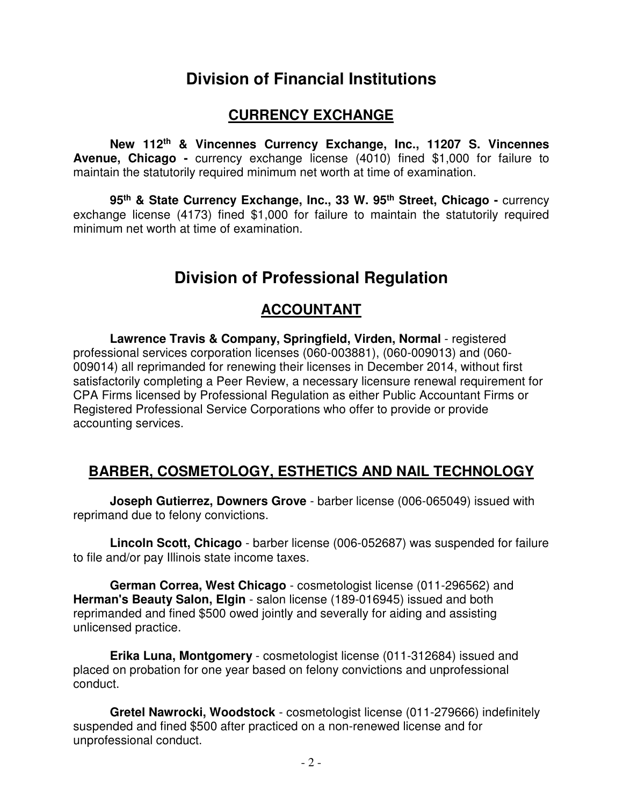# **Division of Financial Institutions**

#### **CURRENCY EXCHANGE**

**New 112th & Vincennes Currency Exchange, Inc., 11207 S. Vincennes Avenue, Chicago -** currency exchange license (4010) fined \$1,000 for failure to maintain the statutorily required minimum net worth at time of examination.

 **95th & State Currency Exchange, Inc., 33 W. 95th Street, Chicago -** currency exchange license (4173) fined \$1,000 for failure to maintain the statutorily required minimum net worth at time of examination.

# **Division of Professional Regulation**

#### **ACCOUNTANT**

**Lawrence Travis & Company, Springfield, Virden, Normal** - registered professional services corporation licenses (060-003881), (060-009013) and (060- 009014) all reprimanded for renewing their licenses in December 2014, without first satisfactorily completing a Peer Review, a necessary licensure renewal requirement for CPA Firms licensed by Professional Regulation as either Public Accountant Firms or Registered Professional Service Corporations who offer to provide or provide accounting services.

# **BARBER, COSMETOLOGY, ESTHETICS AND NAIL TECHNOLOGY**

**Joseph Gutierrez, Downers Grove** - barber license (006-065049) issued with reprimand due to felony convictions.

**Lincoln Scott, Chicago** - barber license (006-052687) was suspended for failure to file and/or pay Illinois state income taxes.

**German Correa, West Chicago** - cosmetologist license (011-296562) and **Herman's Beauty Salon, Elgin** - salon license (189-016945) issued and both reprimanded and fined \$500 owed jointly and severally for aiding and assisting unlicensed practice.

**Erika Luna, Montgomery** - cosmetologist license (011-312684) issued and placed on probation for one year based on felony convictions and unprofessional conduct.

**Gretel Nawrocki, Woodstock** - cosmetologist license (011-279666) indefinitely suspended and fined \$500 after practiced on a non-renewed license and for unprofessional conduct.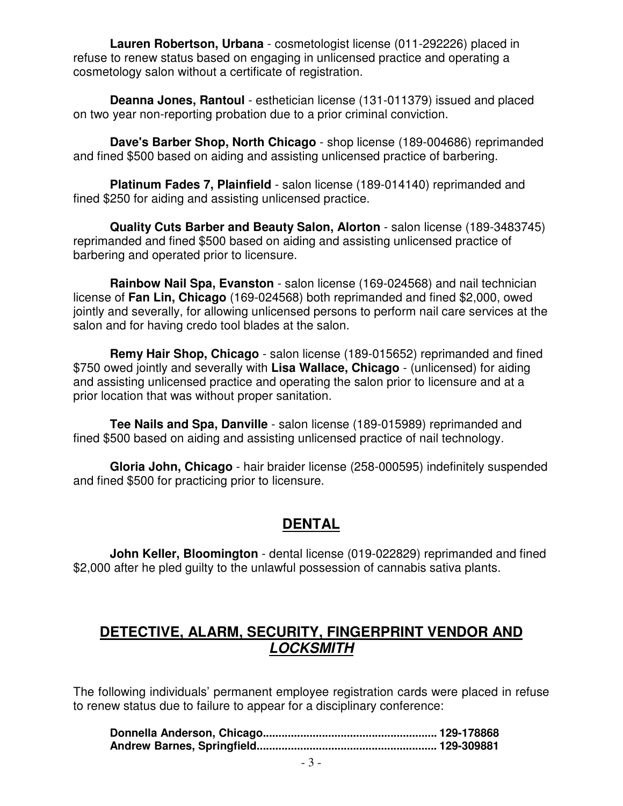**Lauren Robertson, Urbana** - cosmetologist license (011-292226) placed in refuse to renew status based on engaging in unlicensed practice and operating a cosmetology salon without a certificate of registration.

 **Deanna Jones, Rantoul** - esthetician license (131-011379) issued and placed on two year non-reporting probation due to a prior criminal conviction.

 **Dave's Barber Shop, North Chicago** - shop license (189-004686) reprimanded and fined \$500 based on aiding and assisting unlicensed practice of barbering.

**Platinum Fades 7, Plainfield** - salon license (189-014140) reprimanded and fined \$250 for aiding and assisting unlicensed practice.

 **Quality Cuts Barber and Beauty Salon, Alorton** - salon license (189-3483745) reprimanded and fined \$500 based on aiding and assisting unlicensed practice of barbering and operated prior to licensure.

 **Rainbow Nail Spa, Evanston** - salon license (169-024568) and nail technician license of **Fan Lin, Chicago** (169-024568) both reprimanded and fined \$2,000, owed jointly and severally, for allowing unlicensed persons to perform nail care services at the salon and for having credo tool blades at the salon.

 **Remy Hair Shop, Chicago** - salon license (189-015652) reprimanded and fined \$750 owed jointly and severally with **Lisa Wallace, Chicago** - (unlicensed) for aiding and assisting unlicensed practice and operating the salon prior to licensure and at a prior location that was without proper sanitation.

 **Tee Nails and Spa, Danville** - salon license (189-015989) reprimanded and fined \$500 based on aiding and assisting unlicensed practice of nail technology.

 **Gloria John, Chicago** - hair braider license (258-000595) indefinitely suspended and fined \$500 for practicing prior to licensure.

# **DENTAL**

 **John Keller, Bloomington** - dental license (019-022829) reprimanded and fined \$2,000 after he pled guilty to the unlawful possession of cannabis sativa plants.

#### **DETECTIVE, ALARM, SECURITY, FINGERPRINT VENDOR AND LOCKSMITH**

The following individuals' permanent employee registration cards were placed in refuse to renew status due to failure to appear for a disciplinary conference: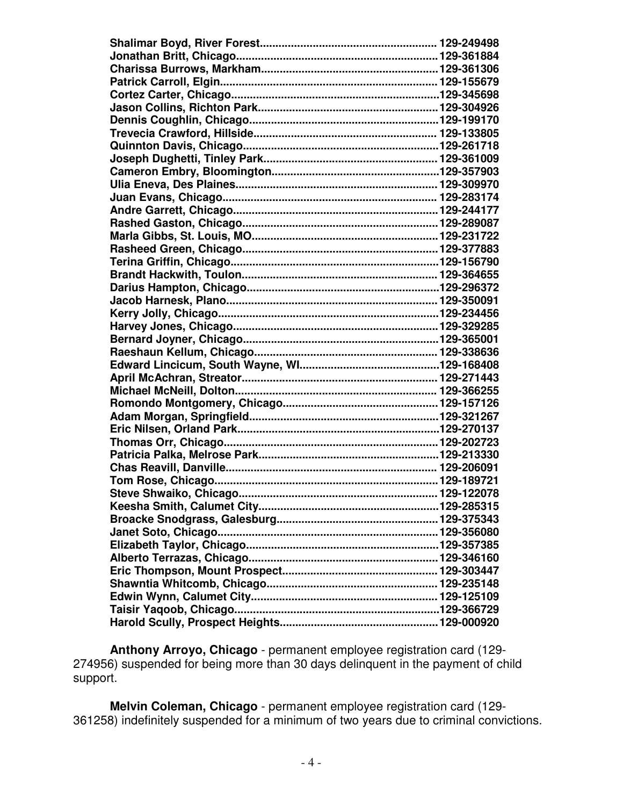**Anthony Arroyo, Chicago** - permanent employee registration card (129- 274956) suspended for being more than 30 days delinquent in the payment of child support.

 **Melvin Coleman, Chicago** - permanent employee registration card (129- 361258) indefinitely suspended for a minimum of two years due to criminal convictions.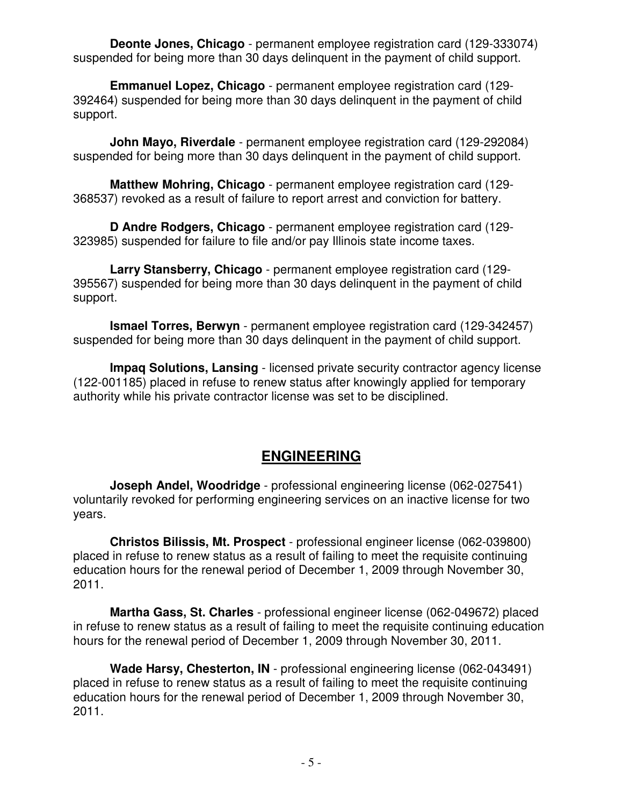**Deonte Jones, Chicago** - permanent employee registration card (129-333074) suspended for being more than 30 days delinquent in the payment of child support.

 **Emmanuel Lopez, Chicago** - permanent employee registration card (129- 392464) suspended for being more than 30 days delinquent in the payment of child support.

 **John Mayo, Riverdale** - permanent employee registration card (129-292084) suspended for being more than 30 days delinquent in the payment of child support.

 **Matthew Mohring, Chicago** - permanent employee registration card (129- 368537) revoked as a result of failure to report arrest and conviction for battery.

 **D Andre Rodgers, Chicago** - permanent employee registration card (129- 323985) suspended for failure to file and/or pay Illinois state income taxes.

 **Larry Stansberry, Chicago** - permanent employee registration card (129- 395567) suspended for being more than 30 days delinquent in the payment of child support.

 **Ismael Torres, Berwyn** - permanent employee registration card (129-342457) suspended for being more than 30 days delinquent in the payment of child support.

 **Impaq Solutions, Lansing** - licensed private security contractor agency license (122-001185) placed in refuse to renew status after knowingly applied for temporary authority while his private contractor license was set to be disciplined.

#### **ENGINEERING**

 **Joseph Andel, Woodridge** - professional engineering license (062-027541) voluntarily revoked for performing engineering services on an inactive license for two years.

 **Christos Bilissis, Mt. Prospect** - professional engineer license (062-039800) placed in refuse to renew status as a result of failing to meet the requisite continuing education hours for the renewal period of December 1, 2009 through November 30, 2011.

 **Martha Gass, St. Charles** - professional engineer license (062-049672) placed in refuse to renew status as a result of failing to meet the requisite continuing education hours for the renewal period of December 1, 2009 through November 30, 2011.

 **Wade Harsy, Chesterton, IN** - professional engineering license (062-043491) placed in refuse to renew status as a result of failing to meet the requisite continuing education hours for the renewal period of December 1, 2009 through November 30, 2011.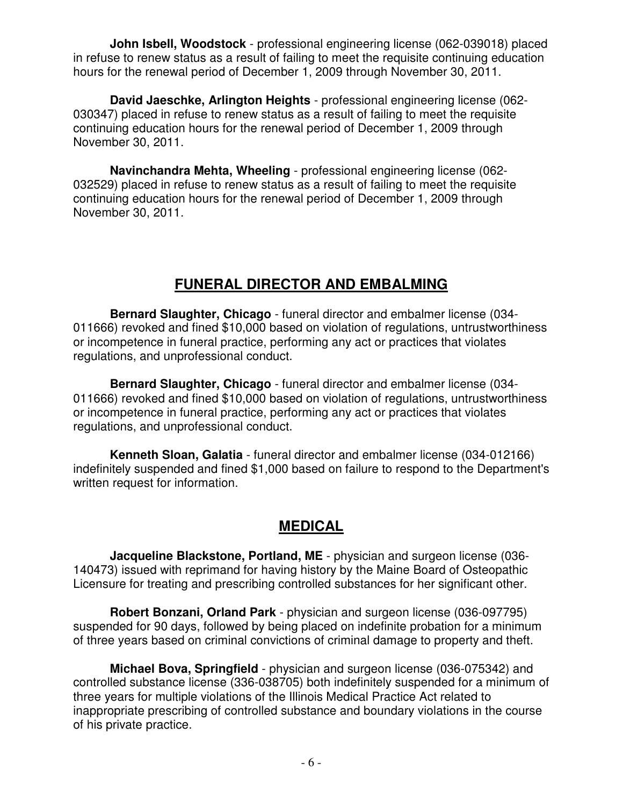**John Isbell, Woodstock** - professional engineering license (062-039018) placed in refuse to renew status as a result of failing to meet the requisite continuing education hours for the renewal period of December 1, 2009 through November 30, 2011.

 **David Jaeschke, Arlington Heights** - professional engineering license (062- 030347) placed in refuse to renew status as a result of failing to meet the requisite continuing education hours for the renewal period of December 1, 2009 through November 30, 2011.

 **Navinchandra Mehta, Wheeling** - professional engineering license (062- 032529) placed in refuse to renew status as a result of failing to meet the requisite continuing education hours for the renewal period of December 1, 2009 through November 30, 2011.

# **FUNERAL DIRECTOR AND EMBALMING**

 **Bernard Slaughter, Chicago** - funeral director and embalmer license (034- 011666) revoked and fined \$10,000 based on violation of regulations, untrustworthiness or incompetence in funeral practice, performing any act or practices that violates regulations, and unprofessional conduct.

 **Bernard Slaughter, Chicago** - funeral director and embalmer license (034- 011666) revoked and fined \$10,000 based on violation of regulations, untrustworthiness or incompetence in funeral practice, performing any act or practices that violates regulations, and unprofessional conduct.

 **Kenneth Sloan, Galatia** - funeral director and embalmer license (034-012166) indefinitely suspended and fined \$1,000 based on failure to respond to the Department's written request for information.

#### **MEDICAL**

 **Jacqueline Blackstone, Portland, ME** - physician and surgeon license (036- 140473) issued with reprimand for having history by the Maine Board of Osteopathic Licensure for treating and prescribing controlled substances for her significant other.

 **Robert Bonzani, Orland Park** - physician and surgeon license (036-097795) suspended for 90 days, followed by being placed on indefinite probation for a minimum of three years based on criminal convictions of criminal damage to property and theft.

 **Michael Bova, Springfield** - physician and surgeon license (036-075342) and controlled substance license (336-038705) both indefinitely suspended for a minimum of three years for multiple violations of the Illinois Medical Practice Act related to inappropriate prescribing of controlled substance and boundary violations in the course of his private practice.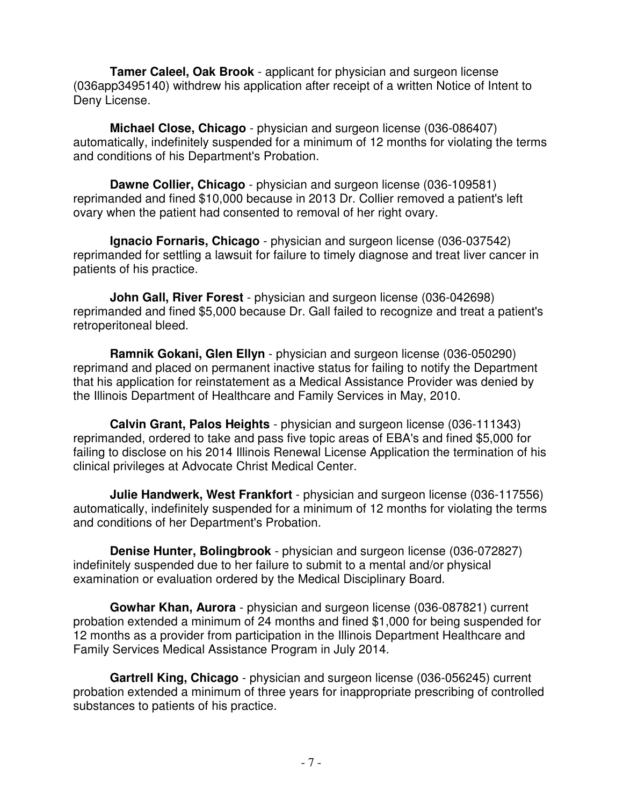**Tamer Caleel, Oak Brook** - applicant for physician and surgeon license (036app3495140) withdrew his application after receipt of a written Notice of Intent to Deny License.

 **Michael Close, Chicago** - physician and surgeon license (036-086407) automatically, indefinitely suspended for a minimum of 12 months for violating the terms and conditions of his Department's Probation.

 **Dawne Collier, Chicago** - physician and surgeon license (036-109581) reprimanded and fined \$10,000 because in 2013 Dr. Collier removed a patient's left ovary when the patient had consented to removal of her right ovary.

 **Ignacio Fornaris, Chicago** - physician and surgeon license (036-037542) reprimanded for settling a lawsuit for failure to timely diagnose and treat liver cancer in patients of his practice.

 **John Gall, River Forest** - physician and surgeon license (036-042698) reprimanded and fined \$5,000 because Dr. Gall failed to recognize and treat a patient's retroperitoneal bleed.

 **Ramnik Gokani, Glen Ellyn** - physician and surgeon license (036-050290) reprimand and placed on permanent inactive status for failing to notify the Department that his application for reinstatement as a Medical Assistance Provider was denied by the Illinois Department of Healthcare and Family Services in May, 2010.

 **Calvin Grant, Palos Heights** - physician and surgeon license (036-111343) reprimanded, ordered to take and pass five topic areas of EBA's and fined \$5,000 for failing to disclose on his 2014 Illinois Renewal License Application the termination of his clinical privileges at Advocate Christ Medical Center.

 **Julie Handwerk, West Frankfort** - physician and surgeon license (036-117556) automatically, indefinitely suspended for a minimum of 12 months for violating the terms and conditions of her Department's Probation.

 **Denise Hunter, Bolingbrook** - physician and surgeon license (036-072827) indefinitely suspended due to her failure to submit to a mental and/or physical examination or evaluation ordered by the Medical Disciplinary Board.

 **Gowhar Khan, Aurora** - physician and surgeon license (036-087821) current probation extended a minimum of 24 months and fined \$1,000 for being suspended for 12 months as a provider from participation in the Illinois Department Healthcare and Family Services Medical Assistance Program in July 2014.

 **Gartrell King, Chicago** - physician and surgeon license (036-056245) current probation extended a minimum of three years for inappropriate prescribing of controlled substances to patients of his practice.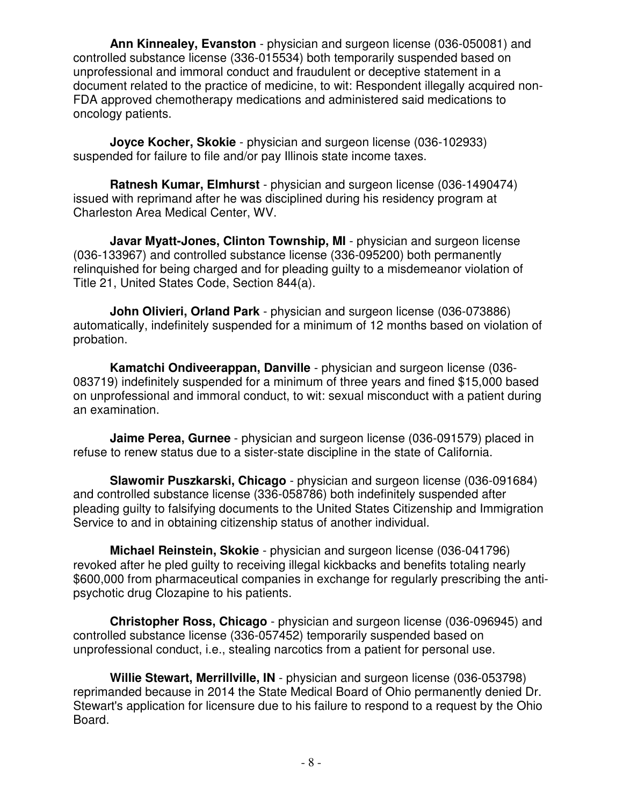**Ann Kinnealey, Evanston** - physician and surgeon license (036-050081) and controlled substance license (336-015534) both temporarily suspended based on unprofessional and immoral conduct and fraudulent or deceptive statement in a document related to the practice of medicine, to wit: Respondent illegally acquired non-FDA approved chemotherapy medications and administered said medications to oncology patients.

**Joyce Kocher, Skokie** - physician and surgeon license (036-102933) suspended for failure to file and/or pay Illinois state income taxes.

**Ratnesh Kumar, Elmhurst** - physician and surgeon license (036-1490474) issued with reprimand after he was disciplined during his residency program at Charleston Area Medical Center, WV.

**Javar Myatt-Jones, Clinton Township, MI** - physician and surgeon license (036-133967) and controlled substance license (336-095200) both permanently relinquished for being charged and for pleading guilty to a misdemeanor violation of Title 21, United States Code, Section 844(a).

 **John Olivieri, Orland Park** - physician and surgeon license (036-073886) automatically, indefinitely suspended for a minimum of 12 months based on violation of probation.

 **Kamatchi Ondiveerappan, Danville** - physician and surgeon license (036- 083719) indefinitely suspended for a minimum of three years and fined \$15,000 based on unprofessional and immoral conduct, to wit: sexual misconduct with a patient during an examination.

 **Jaime Perea, Gurnee** - physician and surgeon license (036-091579) placed in refuse to renew status due to a sister-state discipline in the state of California.

 **Slawomir Puszkarski, Chicago** - physician and surgeon license (036-091684) and controlled substance license (336-058786) both indefinitely suspended after pleading guilty to falsifying documents to the United States Citizenship and Immigration Service to and in obtaining citizenship status of another individual.

 **Michael Reinstein, Skokie** - physician and surgeon license (036-041796) revoked after he pled guilty to receiving illegal kickbacks and benefits totaling nearly \$600,000 from pharmaceutical companies in exchange for regularly prescribing the antipsychotic drug Clozapine to his patients.

 **Christopher Ross, Chicago** - physician and surgeon license (036-096945) and controlled substance license (336-057452) temporarily suspended based on unprofessional conduct, i.e., stealing narcotics from a patient for personal use.

 **Willie Stewart, Merrillville, IN** - physician and surgeon license (036-053798) reprimanded because in 2014 the State Medical Board of Ohio permanently denied Dr. Stewart's application for licensure due to his failure to respond to a request by the Ohio Board.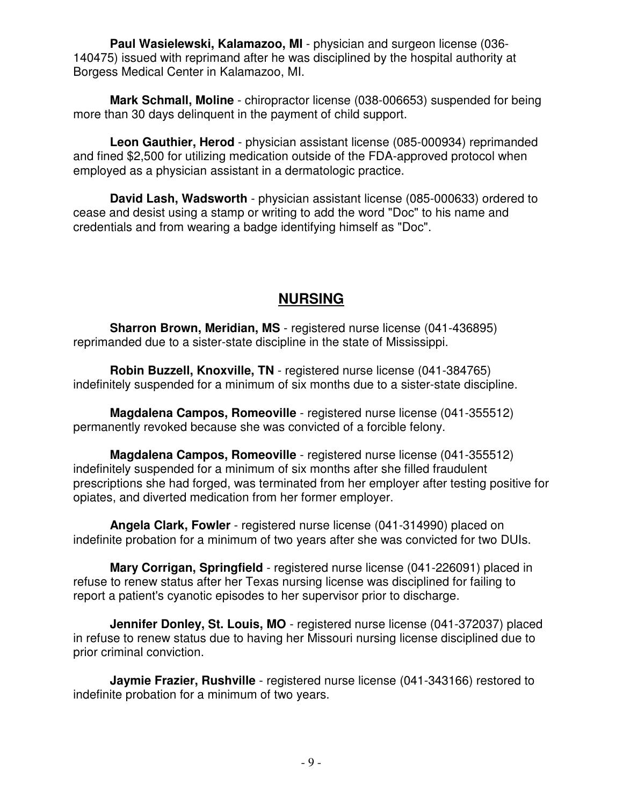**Paul Wasielewski, Kalamazoo, MI** - physician and surgeon license (036- 140475) issued with reprimand after he was disciplined by the hospital authority at Borgess Medical Center in Kalamazoo, MI.

 **Mark Schmall, Moline** - chiropractor license (038-006653) suspended for being more than 30 days delinquent in the payment of child support.

 **Leon Gauthier, Herod** - physician assistant license (085-000934) reprimanded and fined \$2,500 for utilizing medication outside of the FDA-approved protocol when employed as a physician assistant in a dermatologic practice.

 **David Lash, Wadsworth** - physician assistant license (085-000633) ordered to cease and desist using a stamp or writing to add the word "Doc" to his name and credentials and from wearing a badge identifying himself as "Doc".

#### **NURSING**

**Sharron Brown, Meridian, MS** - registered nurse license (041-436895) reprimanded due to a sister-state discipline in the state of Mississippi.

**Robin Buzzell, Knoxville, TN** - registered nurse license (041-384765) indefinitely suspended for a minimum of six months due to a sister-state discipline.

 **Magdalena Campos, Romeoville** - registered nurse license (041-355512) permanently revoked because she was convicted of a forcible felony.

 **Magdalena Campos, Romeoville** - registered nurse license (041-355512) indefinitely suspended for a minimum of six months after she filled fraudulent prescriptions she had forged, was terminated from her employer after testing positive for opiates, and diverted medication from her former employer.

 **Angela Clark, Fowler** - registered nurse license (041-314990) placed on indefinite probation for a minimum of two years after she was convicted for two DUIs.

 **Mary Corrigan, Springfield** - registered nurse license (041-226091) placed in refuse to renew status after her Texas nursing license was disciplined for failing to report a patient's cyanotic episodes to her supervisor prior to discharge.

**Jennifer Donley, St. Louis, MO** - registered nurse license (041-372037) placed in refuse to renew status due to having her Missouri nursing license disciplined due to prior criminal conviction.

**Jaymie Frazier, Rushville** - registered nurse license (041-343166) restored to indefinite probation for a minimum of two years.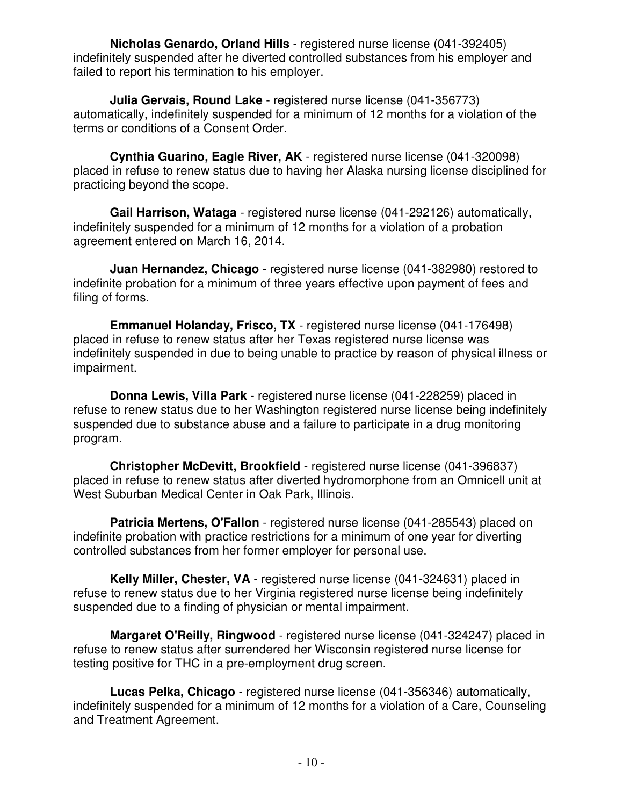**Nicholas Genardo, Orland Hills** - registered nurse license (041-392405) indefinitely suspended after he diverted controlled substances from his employer and failed to report his termination to his employer.

 **Julia Gervais, Round Lake** - registered nurse license (041-356773) automatically, indefinitely suspended for a minimum of 12 months for a violation of the terms or conditions of a Consent Order.

 **Cynthia Guarino, Eagle River, AK** - registered nurse license (041-320098) placed in refuse to renew status due to having her Alaska nursing license disciplined for practicing beyond the scope.

 **Gail Harrison, Wataga** - registered nurse license (041-292126) automatically, indefinitely suspended for a minimum of 12 months for a violation of a probation agreement entered on March 16, 2014.

 **Juan Hernandez, Chicago** - registered nurse license (041-382980) restored to indefinite probation for a minimum of three years effective upon payment of fees and filing of forms.

**Emmanuel Holanday, Frisco, TX** - registered nurse license (041-176498) placed in refuse to renew status after her Texas registered nurse license was indefinitely suspended in due to being unable to practice by reason of physical illness or impairment.

 **Donna Lewis, Villa Park** - registered nurse license (041-228259) placed in refuse to renew status due to her Washington registered nurse license being indefinitely suspended due to substance abuse and a failure to participate in a drug monitoring program.

 **Christopher McDevitt, Brookfield** - registered nurse license (041-396837) placed in refuse to renew status after diverted hydromorphone from an Omnicell unit at West Suburban Medical Center in Oak Park, Illinois.

 **Patricia Mertens, O'Fallon** - registered nurse license (041-285543) placed on indefinite probation with practice restrictions for a minimum of one year for diverting controlled substances from her former employer for personal use.

 **Kelly Miller, Chester, VA** - registered nurse license (041-324631) placed in refuse to renew status due to her Virginia registered nurse license being indefinitely suspended due to a finding of physician or mental impairment.

 **Margaret O'Reilly, Ringwood** - registered nurse license (041-324247) placed in refuse to renew status after surrendered her Wisconsin registered nurse license for testing positive for THC in a pre-employment drug screen.

 **Lucas Pelka, Chicago** - registered nurse license (041-356346) automatically, indefinitely suspended for a minimum of 12 months for a violation of a Care, Counseling and Treatment Agreement.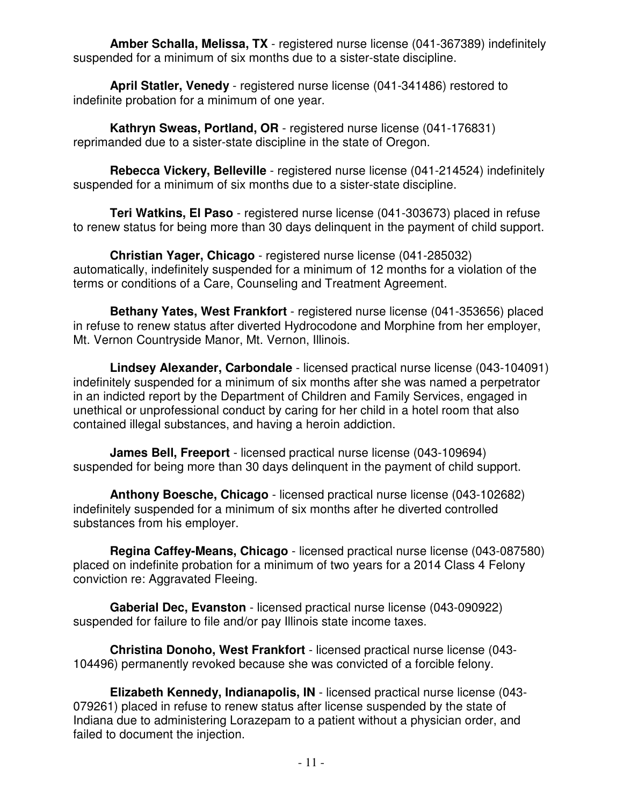**Amber Schalla, Melissa, TX** - registered nurse license (041-367389) indefinitely suspended for a minimum of six months due to a sister-state discipline.

 **April Statler, Venedy** - registered nurse license (041-341486) restored to indefinite probation for a minimum of one year.

**Kathryn Sweas, Portland, OR** - registered nurse license (041-176831) reprimanded due to a sister-state discipline in the state of Oregon.

 **Rebecca Vickery, Belleville** - registered nurse license (041-214524) indefinitely suspended for a minimum of six months due to a sister-state discipline.

 **Teri Watkins, El Paso** - registered nurse license (041-303673) placed in refuse to renew status for being more than 30 days delinquent in the payment of child support.

 **Christian Yager, Chicago** - registered nurse license (041-285032) automatically, indefinitely suspended for a minimum of 12 months for a violation of the terms or conditions of a Care, Counseling and Treatment Agreement.

 **Bethany Yates, West Frankfort** - registered nurse license (041-353656) placed in refuse to renew status after diverted Hydrocodone and Morphine from her employer, Mt. Vernon Countryside Manor, Mt. Vernon, Illinois.

 **Lindsey Alexander, Carbondale** - licensed practical nurse license (043-104091) indefinitely suspended for a minimum of six months after she was named a perpetrator in an indicted report by the Department of Children and Family Services, engaged in unethical or unprofessional conduct by caring for her child in a hotel room that also contained illegal substances, and having a heroin addiction.

 **James Bell, Freeport** - licensed practical nurse license (043-109694) suspended for being more than 30 days delinquent in the payment of child support.

**Anthony Boesche, Chicago** - licensed practical nurse license (043-102682) indefinitely suspended for a minimum of six months after he diverted controlled substances from his employer.

 **Regina Caffey-Means, Chicago** - licensed practical nurse license (043-087580) placed on indefinite probation for a minimum of two years for a 2014 Class 4 Felony conviction re: Aggravated Fleeing.

 **Gaberial Dec, Evanston** - licensed practical nurse license (043-090922) suspended for failure to file and/or pay Illinois state income taxes.

 **Christina Donoho, West Frankfort** - licensed practical nurse license (043- 104496) permanently revoked because she was convicted of a forcible felony.

 **Elizabeth Kennedy, Indianapolis, IN** - licensed practical nurse license (043- 079261) placed in refuse to renew status after license suspended by the state of Indiana due to administering Lorazepam to a patient without a physician order, and failed to document the injection.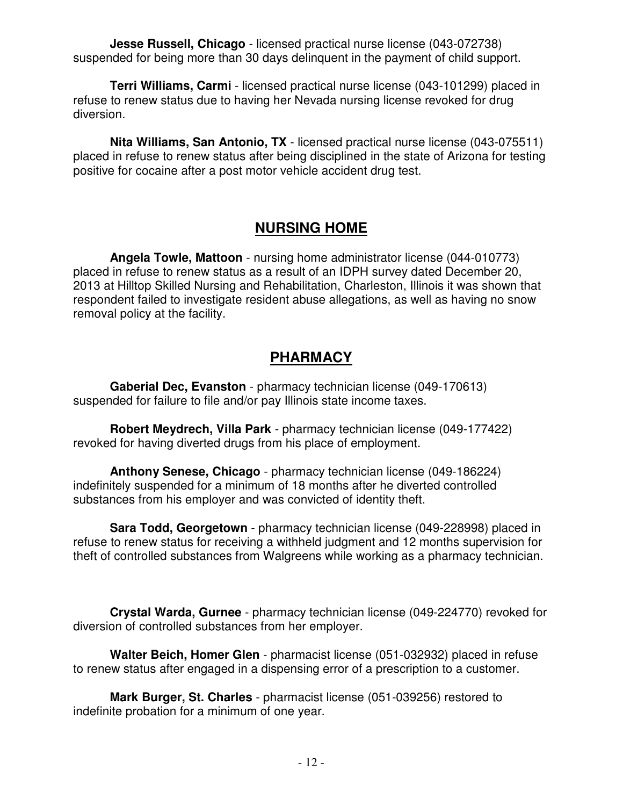**Jesse Russell, Chicago** - licensed practical nurse license (043-072738) suspended for being more than 30 days delinquent in the payment of child support.

 **Terri Williams, Carmi** - licensed practical nurse license (043-101299) placed in refuse to renew status due to having her Nevada nursing license revoked for drug diversion.

**Nita Williams, San Antonio, TX** - licensed practical nurse license (043-075511) placed in refuse to renew status after being disciplined in the state of Arizona for testing positive for cocaine after a post motor vehicle accident drug test.

#### **NURSING HOME**

 **Angela Towle, Mattoon** - nursing home administrator license (044-010773) placed in refuse to renew status as a result of an IDPH survey dated December 20, 2013 at Hilltop Skilled Nursing and Rehabilitation, Charleston, Illinois it was shown that respondent failed to investigate resident abuse allegations, as well as having no snow removal policy at the facility.

# **PHARMACY**

 **Gaberial Dec, Evanston** - pharmacy technician license (049-170613) suspended for failure to file and/or pay Illinois state income taxes.

 **Robert Meydrech, Villa Park** - pharmacy technician license (049-177422) revoked for having diverted drugs from his place of employment.

 **Anthony Senese, Chicago** - pharmacy technician license (049-186224) indefinitely suspended for a minimum of 18 months after he diverted controlled substances from his employer and was convicted of identity theft.

 **Sara Todd, Georgetown** - pharmacy technician license (049-228998) placed in refuse to renew status for receiving a withheld judgment and 12 months supervision for theft of controlled substances from Walgreens while working as a pharmacy technician.

**Crystal Warda, Gurnee** - pharmacy technician license (049-224770) revoked for diversion of controlled substances from her employer.

 **Walter Beich, Homer Glen** - pharmacist license (051-032932) placed in refuse to renew status after engaged in a dispensing error of a prescription to a customer.

 **Mark Burger, St. Charles** - pharmacist license (051-039256) restored to indefinite probation for a minimum of one year.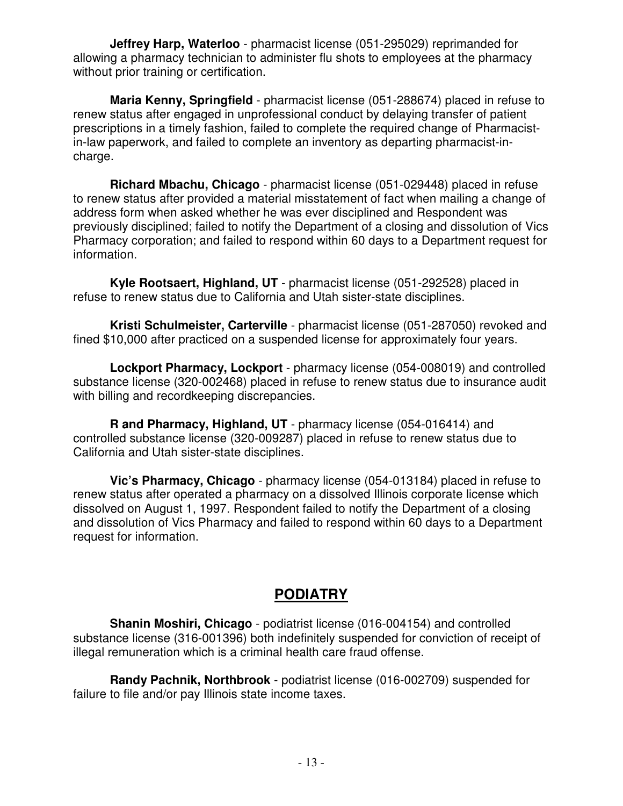**Jeffrey Harp, Waterloo** - pharmacist license (051-295029) reprimanded for allowing a pharmacy technician to administer flu shots to employees at the pharmacy without prior training or certification.

 **Maria Kenny, Springfield** - pharmacist license (051-288674) placed in refuse to renew status after engaged in unprofessional conduct by delaying transfer of patient prescriptions in a timely fashion, failed to complete the required change of Pharmacistin-law paperwork, and failed to complete an inventory as departing pharmacist-incharge.

 **Richard Mbachu, Chicago** - pharmacist license (051-029448) placed in refuse to renew status after provided a material misstatement of fact when mailing a change of address form when asked whether he was ever disciplined and Respondent was previously disciplined; failed to notify the Department of a closing and dissolution of Vics Pharmacy corporation; and failed to respond within 60 days to a Department request for information.

 **Kyle Rootsaert, Highland, UT** - pharmacist license (051-292528) placed in refuse to renew status due to California and Utah sister-state disciplines.

 **Kristi Schulmeister, Carterville** - pharmacist license (051-287050) revoked and fined \$10,000 after practiced on a suspended license for approximately four years.

 **Lockport Pharmacy, Lockport** - pharmacy license (054-008019) and controlled substance license (320-002468) placed in refuse to renew status due to insurance audit with billing and recordkeeping discrepancies.

 **R and Pharmacy, Highland, UT** - pharmacy license (054-016414) and controlled substance license (320-009287) placed in refuse to renew status due to California and Utah sister-state disciplines.

 **Vic's Pharmacy, Chicago** - pharmacy license (054-013184) placed in refuse to renew status after operated a pharmacy on a dissolved Illinois corporate license which dissolved on August 1, 1997. Respondent failed to notify the Department of a closing and dissolution of Vics Pharmacy and failed to respond within 60 days to a Department request for information.

# **PODIATRY**

 **Shanin Moshiri, Chicago** - podiatrist license (016-004154) and controlled substance license (316-001396) both indefinitely suspended for conviction of receipt of illegal remuneration which is a criminal health care fraud offense.

 **Randy Pachnik, Northbrook** - podiatrist license (016-002709) suspended for failure to file and/or pay Illinois state income taxes.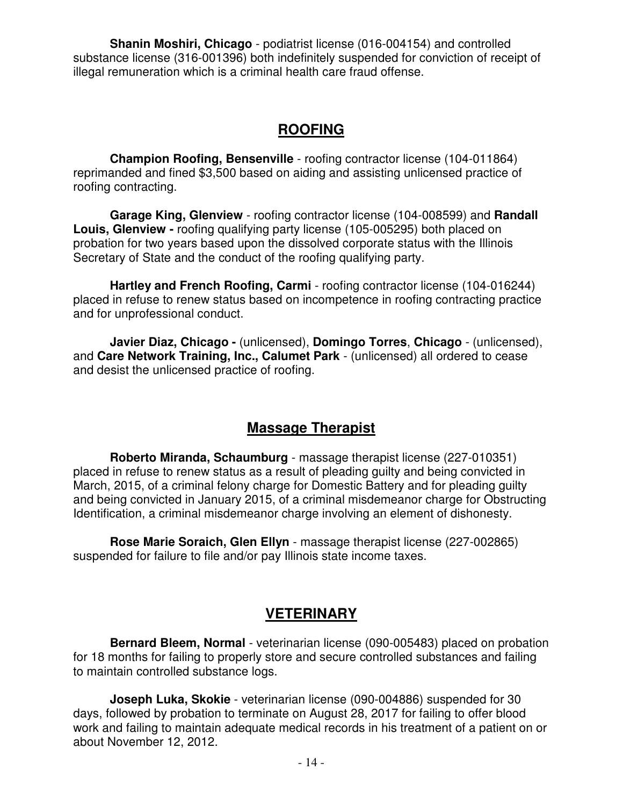**Shanin Moshiri, Chicago** - podiatrist license (016-004154) and controlled substance license (316-001396) both indefinitely suspended for conviction of receipt of illegal remuneration which is a criminal health care fraud offense.

#### **ROOFING**

**Champion Roofing, Bensenville** - roofing contractor license (104-011864) reprimanded and fined \$3,500 based on aiding and assisting unlicensed practice of roofing contracting.

 **Garage King, Glenview** - roofing contractor license (104-008599) and **Randall Louis, Glenview -** roofing qualifying party license (105-005295) both placed on probation for two years based upon the dissolved corporate status with the Illinois Secretary of State and the conduct of the roofing qualifying party.

**Hartley and French Roofing, Carmi** - roofing contractor license (104-016244) placed in refuse to renew status based on incompetence in roofing contracting practice and for unprofessional conduct.

 **Javier Diaz, Chicago -** (unlicensed), **Domingo Torres**, **Chicago** - (unlicensed), and **Care Network Training, Inc., Calumet Park** - (unlicensed) all ordered to cease and desist the unlicensed practice of roofing.

#### **Massage Therapist**

 **Roberto Miranda, Schaumburg** - massage therapist license (227-010351) placed in refuse to renew status as a result of pleading guilty and being convicted in March, 2015, of a criminal felony charge for Domestic Battery and for pleading guilty and being convicted in January 2015, of a criminal misdemeanor charge for Obstructing Identification, a criminal misdemeanor charge involving an element of dishonesty.

 **Rose Marie Soraich, Glen Ellyn** - massage therapist license (227-002865) suspended for failure to file and/or pay Illinois state income taxes.

# **VETERINARY**

 **Bernard Bleem, Normal** - veterinarian license (090-005483) placed on probation for 18 months for failing to properly store and secure controlled substances and failing to maintain controlled substance logs.

 **Joseph Luka, Skokie** - veterinarian license (090-004886) suspended for 30 days, followed by probation to terminate on August 28, 2017 for failing to offer blood work and failing to maintain adequate medical records in his treatment of a patient on or about November 12, 2012.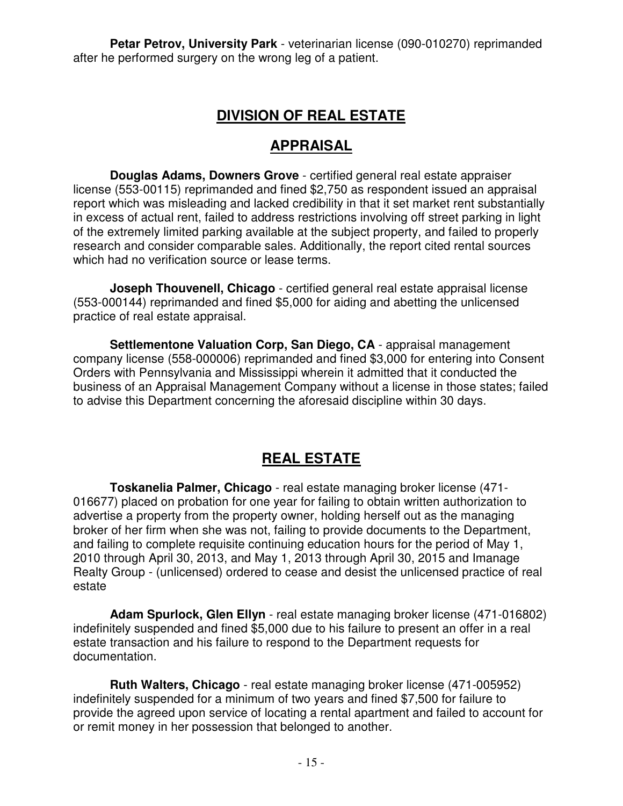**Petar Petrov, University Park** - veterinarian license (090-010270) reprimanded after he performed surgery on the wrong leg of a patient.

# **DIVISION OF REAL ESTATE**

#### **APPRAISAL**

**Douglas Adams, Downers Grove** - certified general real estate appraiser license (553-00115) reprimanded and fined \$2,750 as respondent issued an appraisal report which was misleading and lacked credibility in that it set market rent substantially in excess of actual rent, failed to address restrictions involving off street parking in light of the extremely limited parking available at the subject property, and failed to properly research and consider comparable sales. Additionally, the report cited rental sources which had no verification source or lease terms.

**Joseph Thouvenell, Chicago** - certified general real estate appraisal license (553-000144) reprimanded and fined \$5,000 for aiding and abetting the unlicensed practice of real estate appraisal.

 **Settlementone Valuation Corp, San Diego, CA** - appraisal management company license (558-000006) reprimanded and fined \$3,000 for entering into Consent Orders with Pennsylvania and Mississippi wherein it admitted that it conducted the business of an Appraisal Management Company without a license in those states; failed to advise this Department concerning the aforesaid discipline within 30 days.

# **REAL ESTATE**

 **Toskanelia Palmer, Chicago** - real estate managing broker license (471- 016677) placed on probation for one year for failing to obtain written authorization to advertise a property from the property owner, holding herself out as the managing broker of her firm when she was not, failing to provide documents to the Department, and failing to complete requisite continuing education hours for the period of May 1, 2010 through April 30, 2013, and May 1, 2013 through April 30, 2015 and Imanage Realty Group - (unlicensed) ordered to cease and desist the unlicensed practice of real estate

 **Adam Spurlock, Glen Ellyn** - real estate managing broker license (471-016802) indefinitely suspended and fined \$5,000 due to his failure to present an offer in a real estate transaction and his failure to respond to the Department requests for documentation.

 **Ruth Walters, Chicago** - real estate managing broker license (471-005952) indefinitely suspended for a minimum of two years and fined \$7,500 for failure to provide the agreed upon service of locating a rental apartment and failed to account for or remit money in her possession that belonged to another.